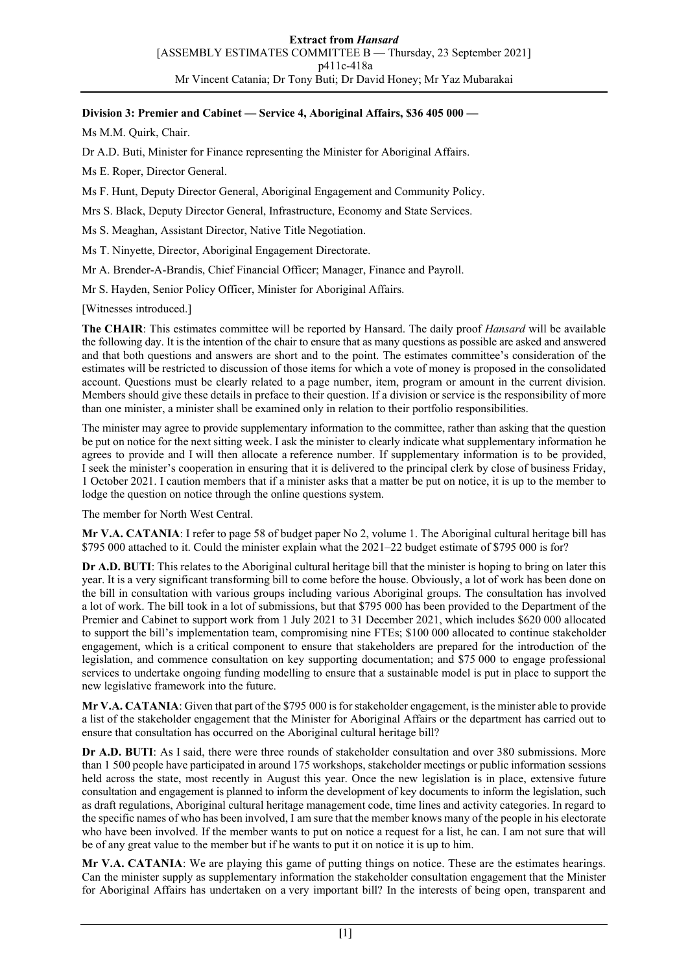# **Division 3: Premier and Cabinet — Service 4, Aboriginal Affairs, \$36 405 000 —**

Ms M.M. Quirk, Chair.

Dr A.D. Buti, Minister for Finance representing the Minister for Aboriginal Affairs.

Ms E. Roper, Director General.

Ms F. Hunt, Deputy Director General, Aboriginal Engagement and Community Policy.

Mrs S. Black, Deputy Director General, Infrastructure, Economy and State Services.

Ms S. Meaghan, Assistant Director, Native Title Negotiation.

Ms T. Ninyette, Director, Aboriginal Engagement Directorate.

Mr A. Brender-A-Brandis, Chief Financial Officer; Manager, Finance and Payroll.

Mr S. Hayden, Senior Policy Officer, Minister for Aboriginal Affairs.

[Witnesses introduced.]

**The CHAIR**: This estimates committee will be reported by Hansard. The daily proof *Hansard* will be available the following day. It is the intention of the chair to ensure that as many questions as possible are asked and answered and that both questions and answers are short and to the point. The estimates committee's consideration of the estimates will be restricted to discussion of those items for which a vote of money is proposed in the consolidated account. Questions must be clearly related to a page number, item, program or amount in the current division. Members should give these details in preface to their question. If a division or service is the responsibility of more than one minister, a minister shall be examined only in relation to their portfolio responsibilities.

The minister may agree to provide supplementary information to the committee, rather than asking that the question be put on notice for the next sitting week. I ask the minister to clearly indicate what supplementary information he agrees to provide and I will then allocate a reference number. If supplementary information is to be provided, I seek the minister's cooperation in ensuring that it is delivered to the principal clerk by close of business Friday, 1 October 2021. I caution members that if a minister asks that a matter be put on notice, it is up to the member to lodge the question on notice through the online questions system.

The member for North West Central.

**Mr V.A. CATANIA**: I refer to page 58 of budget paper No 2, volume 1. The Aboriginal cultural heritage bill has \$795 000 attached to it. Could the minister explain what the 2021–22 budget estimate of \$795 000 is for?

**Dr A.D. BUTI**: This relates to the Aboriginal cultural heritage bill that the minister is hoping to bring on later this year. It is a very significant transforming bill to come before the house. Obviously, a lot of work has been done on the bill in consultation with various groups including various Aboriginal groups. The consultation has involved a lot of work. The bill took in a lot of submissions, but that \$795 000 has been provided to the Department of the Premier and Cabinet to support work from 1 July 2021 to 31 December 2021, which includes \$620 000 allocated to support the bill's implementation team, compromising nine FTEs; \$100 000 allocated to continue stakeholder engagement, which is a critical component to ensure that stakeholders are prepared for the introduction of the legislation, and commence consultation on key supporting documentation; and \$75 000 to engage professional services to undertake ongoing funding modelling to ensure that a sustainable model is put in place to support the new legislative framework into the future.

**Mr V.A. CATANIA**: Given that part of the \$795 000 is for stakeholder engagement, is the minister able to provide a list of the stakeholder engagement that the Minister for Aboriginal Affairs or the department has carried out to ensure that consultation has occurred on the Aboriginal cultural heritage bill?

**Dr A.D. BUTI**: As I said, there were three rounds of stakeholder consultation and over 380 submissions. More than 1 500 people have participated in around 175 workshops, stakeholder meetings or public information sessions held across the state, most recently in August this year. Once the new legislation is in place, extensive future consultation and engagement is planned to inform the development of key documents to inform the legislation, such as draft regulations, Aboriginal cultural heritage management code, time lines and activity categories. In regard to the specific names of who has been involved, I am sure that the member knows many of the people in his electorate who have been involved. If the member wants to put on notice a request for a list, he can. I am not sure that will be of any great value to the member but if he wants to put it on notice it is up to him.

**Mr V.A. CATANIA**: We are playing this game of putting things on notice. These are the estimates hearings. Can the minister supply as supplementary information the stakeholder consultation engagement that the Minister for Aboriginal Affairs has undertaken on a very important bill? In the interests of being open, transparent and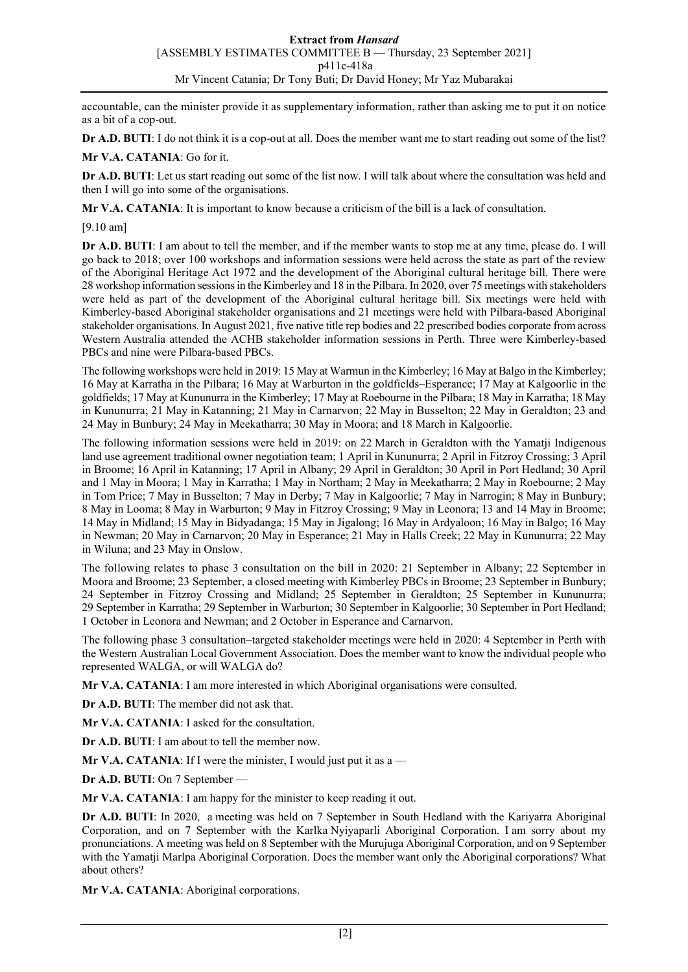accountable, can the minister provide it as supplementary information, rather than asking me to put it on notice as a bit of a cop-out.

**Dr A.D. BUTI**: I do not think it is a cop-out at all. Does the member want me to start reading out some of the list?

# **Mr V.A. CATANIA**: Go for it.

**Dr A.D. BUTI**: Let us start reading out some of the list now. I will talk about where the consultation was held and then I will go into some of the organisations.

**Mr V.A. CATANIA**: It is important to know because a criticism of the bill is a lack of consultation.

[9.10 am]

**Dr A.D. BUTI**: I am about to tell the member, and if the member wants to stop me at any time, please do. I will go back to 2018; over 100 workshops and information sessions were held across the state as part of the review of the Aboriginal Heritage Act 1972 and the development of the Aboriginal cultural heritage bill. There were 28 workshop information sessions in the Kimberley and 18 in the Pilbara. In 2020, over 75 meetings with stakeholders were held as part of the development of the Aboriginal cultural heritage bill. Six meetings were held with Kimberley-based Aboriginal stakeholder organisations and 21 meetings were held with Pilbara-based Aboriginal stakeholder organisations. In August 2021, five native title rep bodies and 22 prescribed bodies corporate from across Western Australia attended the ACHB stakeholder information sessions in Perth. Three were Kimberley-based PBCs and nine were Pilbara-based PBCs.

The following workshops were held in 2019: 15 May at Warmun in the Kimberley; 16 May at Balgo in the Kimberley; 16 May at Karratha in the Pilbara; 16 May at Warburton in the goldfields–Esperance; 17 May at Kalgoorlie in the goldfields; 17 May at Kununurra in the Kimberley; 17 May at Roebourne in the Pilbara; 18 May in Karratha; 18 May in Kununurra; 21 May in Katanning; 21 May in Carnarvon; 22 May in Busselton; 22 May in Geraldton; 23 and 24 May in Bunbury; 24 May in Meekatharra; 30 May in Moora; and 18 March in Kalgoorlie.

The following information sessions were held in 2019: on 22 March in Geraldton with the Yamatji Indigenous land use agreement traditional owner negotiation team; 1 April in Kununurra; 2 April in Fitzroy Crossing; 3 April in Broome; 16 April in Katanning; 17 April in Albany; 29 April in Geraldton; 30 April in Port Hedland; 30 April and 1 May in Moora; 1 May in Karratha; 1 May in Northam; 2 May in Meekatharra; 2 May in Roebourne; 2 May in Tom Price; 7 May in Busselton; 7 May in Derby; 7 May in Kalgoorlie; 7 May in Narrogin; 8 May in Bunbury; 8 May in Looma; 8 May in Warburton; 9 May in Fitzroy Crossing; 9 May in Leonora; 13 and 14 May in Broome; 14 May in Midland; 15 May in Bidyadanga; 15 May in Jigalong; 16 May in Ardyaloon; 16 May in Balgo; 16 May in Newman; 20 May in Carnarvon; 20 May in Esperance; 21 May in Halls Creek; 22 May in Kununurra; 22 May in Wiluna; and 23 May in Onslow.

The following relates to phase 3 consultation on the bill in 2020: 21 September in Albany; 22 September in Moora and Broome; 23 September, a closed meeting with Kimberley PBCs in Broome; 23 September in Bunbury; 24 September in Fitzroy Crossing and Midland; 25 September in Geraldton; 25 September in Kununurra; 29 September in Karratha; 29 September in Warburton; 30 September in Kalgoorlie; 30 September in Port Hedland; 1 October in Leonora and Newman; and 2 October in Esperance and Carnarvon.

The following phase 3 consultation–targeted stakeholder meetings were held in 2020: 4 September in Perth with the Western Australian Local Government Association. Does the member want to know the individual people who represented WALGA, or will WALGA do?

**Mr V.A. CATANIA**: I am more interested in which Aboriginal organisations were consulted.

**Dr A.D. BUTI**: The member did not ask that.

**Mr V.A. CATANIA**: I asked for the consultation.

**Dr A.D. BUTI**: I am about to tell the member now.

**Mr V.A. CATANIA:** If I were the minister, I would just put it as  $a$  —

**Dr A.D. BUTI**: On 7 September —

**Mr V.A. CATANIA**: I am happy for the minister to keep reading it out.

**Dr A.D. BUTI**: In 2020, a meeting was held on 7 September in South Hedland with the Kariyarra Aboriginal Corporation, and on 7 September with the Karlka Nyiyaparli Aboriginal Corporation. I am sorry about my pronunciations. A meeting was held on 8 September with the Murujuga Aboriginal Corporation, and on 9 September with the Yamatji Marlpa Aboriginal Corporation. Does the member want only the Aboriginal corporations? What about others?

**Mr V.A. CATANIA**: Aboriginal corporations.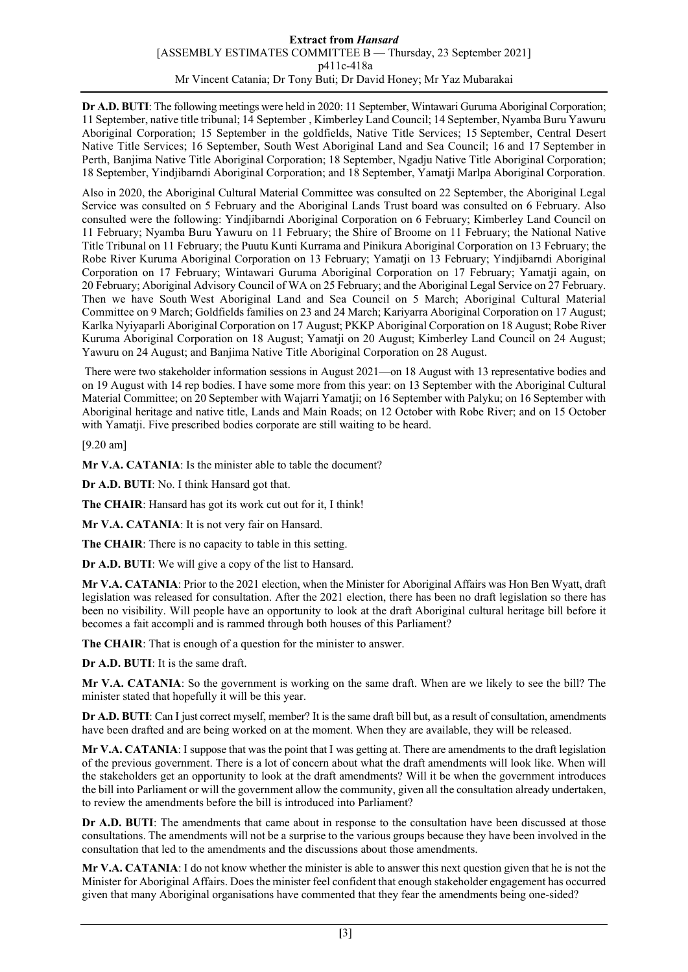### **Extract from** *Hansard* [ASSEMBLY ESTIMATES COMMITTEE B — Thursday, 23 September 2021] p411c-418a Mr Vincent Catania; Dr Tony Buti; Dr David Honey; Mr Yaz Mubarakai

**Dr A.D. BUTI**: The following meetings were held in 2020: 11 September, Wintawari Guruma Aboriginal Corporation; 11 September, native title tribunal; 14 September , Kimberley Land Council; 14 September, Nyamba Buru Yawuru Aboriginal Corporation; 15 September in the goldfields, Native Title Services; 15 September, Central Desert Native Title Services; 16 September, South West Aboriginal Land and Sea Council; 16 and 17 September in Perth, Banjima Native Title Aboriginal Corporation; 18 September, Ngadju Native Title Aboriginal Corporation; 18 September, Yindjibarndi Aboriginal Corporation; and 18 September, Yamatji Marlpa Aboriginal Corporation.

Also in 2020, the Aboriginal Cultural Material Committee was consulted on 22 September, the Aboriginal Legal Service was consulted on 5 February and the Aboriginal Lands Trust board was consulted on 6 February. Also consulted were the following: Yindjibarndi Aboriginal Corporation on 6 February; Kimberley Land Council on 11 February; Nyamba Buru Yawuru on 11 February; the Shire of Broome on 11 February; the National Native Title Tribunal on 11 February; the Puutu Kunti Kurrama and Pinikura Aboriginal Corporation on 13 February; the Robe River Kuruma Aboriginal Corporation on 13 February; Yamatji on 13 February; Yindjibarndi Aboriginal Corporation on 17 February; Wintawari Guruma Aboriginal Corporation on 17 February; Yamatji again, on 20 February; Aboriginal Advisory Council of WA on 25 February; and the Aboriginal Legal Service on 27 February. Then we have South West Aboriginal Land and Sea Council on 5 March; Aboriginal Cultural Material Committee on 9 March; Goldfields families on 23 and 24 March; Kariyarra Aboriginal Corporation on 17 August; Karlka Nyiyaparli Aboriginal Corporation on 17 August; PKKP Aboriginal Corporation on 18 August; Robe River Kuruma Aboriginal Corporation on 18 August; Yamatji on 20 August; Kimberley Land Council on 24 August; Yawuru on 24 August; and Banjima Native Title Aboriginal Corporation on 28 August.

There were two stakeholder information sessions in August 2021—on 18 August with 13 representative bodies and on 19 August with 14 rep bodies. I have some more from this year: on 13 September with the Aboriginal Cultural Material Committee; on 20 September with Wajarri Yamatji; on 16 September with Palyku; on 16 September with Aboriginal heritage and native title, Lands and Main Roads; on 12 October with Robe River; and on 15 October with Yamatji. Five prescribed bodies corporate are still waiting to be heard.

[9.20 am]

**Mr V.A. CATANIA**: Is the minister able to table the document?

**Dr A.D. BUTI**: No. I think Hansard got that.

**The CHAIR**: Hansard has got its work cut out for it, I think!

**Mr V.A. CATANIA**: It is not very fair on Hansard.

**The CHAIR**: There is no capacity to table in this setting.

**Dr A.D. BUTI**: We will give a copy of the list to Hansard.

**Mr V.A. CATANIA**: Prior to the 2021 election, when the Minister for Aboriginal Affairs was Hon Ben Wyatt, draft legislation was released for consultation. After the 2021 election, there has been no draft legislation so there has been no visibility. Will people have an opportunity to look at the draft Aboriginal cultural heritage bill before it becomes a fait accompli and is rammed through both houses of this Parliament?

**The CHAIR**: That is enough of a question for the minister to answer.

**Dr A.D. BUTI**: It is the same draft.

**Mr V.A. CATANIA**: So the government is working on the same draft. When are we likely to see the bill? The minister stated that hopefully it will be this year.

**Dr A.D. BUTI**: Can I just correct myself, member? It is the same draft bill but, as a result of consultation, amendments have been drafted and are being worked on at the moment. When they are available, they will be released.

**Mr V.A. CATANIA**: I suppose that was the point that I was getting at. There are amendments to the draft legislation of the previous government. There is a lot of concern about what the draft amendments will look like. When will the stakeholders get an opportunity to look at the draft amendments? Will it be when the government introduces the bill into Parliament or will the government allow the community, given all the consultation already undertaken, to review the amendments before the bill is introduced into Parliament?

**Dr A.D. BUTI**: The amendments that came about in response to the consultation have been discussed at those consultations. The amendments will not be a surprise to the various groups because they have been involved in the consultation that led to the amendments and the discussions about those amendments.

**Mr V.A. CATANIA**: I do not know whether the minister is able to answer this next question given that he is not the Minister for Aboriginal Affairs. Does the minister feel confident that enough stakeholder engagement has occurred given that many Aboriginal organisations have commented that they fear the amendments being one-sided?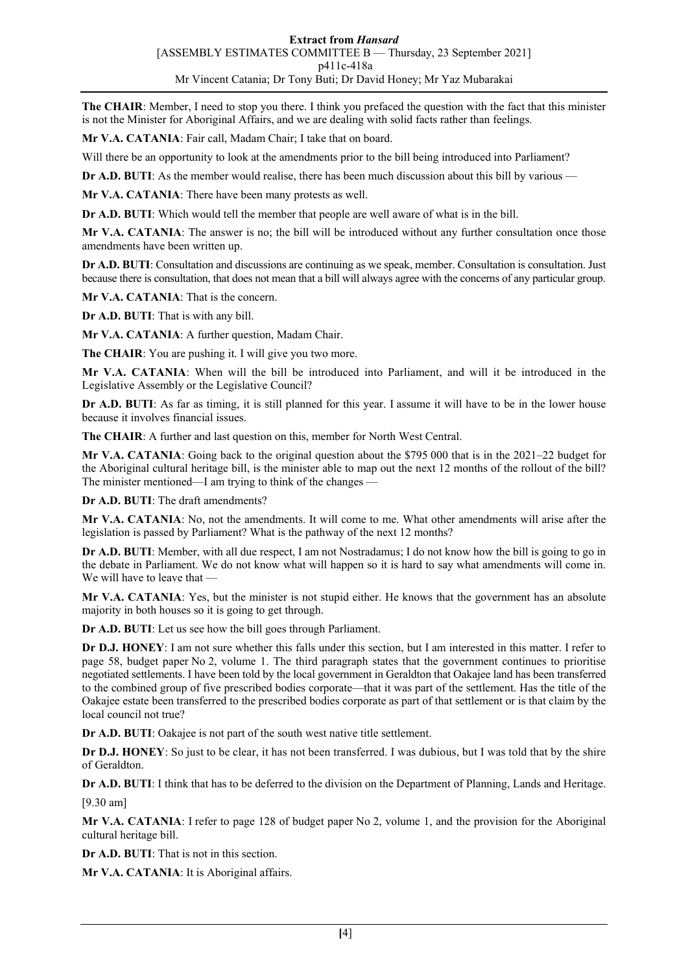**The CHAIR**: Member, I need to stop you there. I think you prefaced the question with the fact that this minister is not the Minister for Aboriginal Affairs, and we are dealing with solid facts rather than feelings.

**Mr V.A. CATANIA**: Fair call, Madam Chair; I take that on board.

Will there be an opportunity to look at the amendments prior to the bill being introduced into Parliament?

**Dr A.D. BUTI:** As the member would realise, there has been much discussion about this bill by various —

**Mr V.A. CATANIA**: There have been many protests as well.

**Dr A.D. BUTI**: Which would tell the member that people are well aware of what is in the bill.

**Mr V.A. CATANIA**: The answer is no; the bill will be introduced without any further consultation once those amendments have been written up.

**Dr A.D. BUTI**: Consultation and discussions are continuing as we speak, member. Consultation is consultation. Just because there is consultation, that does not mean that a bill will always agree with the concerns of any particular group.

**Mr V.A. CATANIA**: That is the concern.

**Dr A.D. BUTI**: That is with any bill.

**Mr V.A. CATANIA**: A further question, Madam Chair.

**The CHAIR**: You are pushing it. I will give you two more.

**Mr V.A. CATANIA**: When will the bill be introduced into Parliament, and will it be introduced in the Legislative Assembly or the Legislative Council?

**Dr A.D. BUTI**: As far as timing, it is still planned for this year. I assume it will have to be in the lower house because it involves financial issues.

**The CHAIR**: A further and last question on this, member for North West Central.

**Mr V.A. CATANIA**: Going back to the original question about the \$795 000 that is in the 2021–22 budget for the Aboriginal cultural heritage bill, is the minister able to map out the next 12 months of the rollout of the bill? The minister mentioned—I am trying to think of the changes —

**Dr A.D. BUTI**: The draft amendments?

**Mr V.A. CATANIA**: No, not the amendments. It will come to me. What other amendments will arise after the legislation is passed by Parliament? What is the pathway of the next 12 months?

**Dr A.D. BUTI**: Member, with all due respect, I am not Nostradamus; I do not know how the bill is going to go in the debate in Parliament. We do not know what will happen so it is hard to say what amendments will come in. We will have to leave that —

**Mr V.A. CATANIA**: Yes, but the minister is not stupid either. He knows that the government has an absolute majority in both houses so it is going to get through.

**Dr A.D. BUTI**: Let us see how the bill goes through Parliament.

**Dr D.J. HONEY**: I am not sure whether this falls under this section, but I am interested in this matter. I refer to page 58, budget paper No 2, volume 1. The third paragraph states that the government continues to prioritise negotiated settlements. I have been told by the local government in Geraldton that Oakajee land has been transferred to the combined group of five prescribed bodies corporate—that it was part of the settlement. Has the title of the Oakajee estate been transferred to the prescribed bodies corporate as part of that settlement or is that claim by the local council not true?

**Dr A.D. BUTI**: Oakajee is not part of the south west native title settlement.

**Dr D.J. HONEY**: So just to be clear, it has not been transferred. I was dubious, but I was told that by the shire of Geraldton.

**Dr A.D. BUTI**: I think that has to be deferred to the division on the Department of Planning, Lands and Heritage.

[9.30 am]

**Mr V.A. CATANIA**: I refer to page 128 of budget paper No 2, volume 1, and the provision for the Aboriginal cultural heritage bill.

**Dr A.D. BUTI**: That is not in this section.

**Mr V.A. CATANIA**: It is Aboriginal affairs.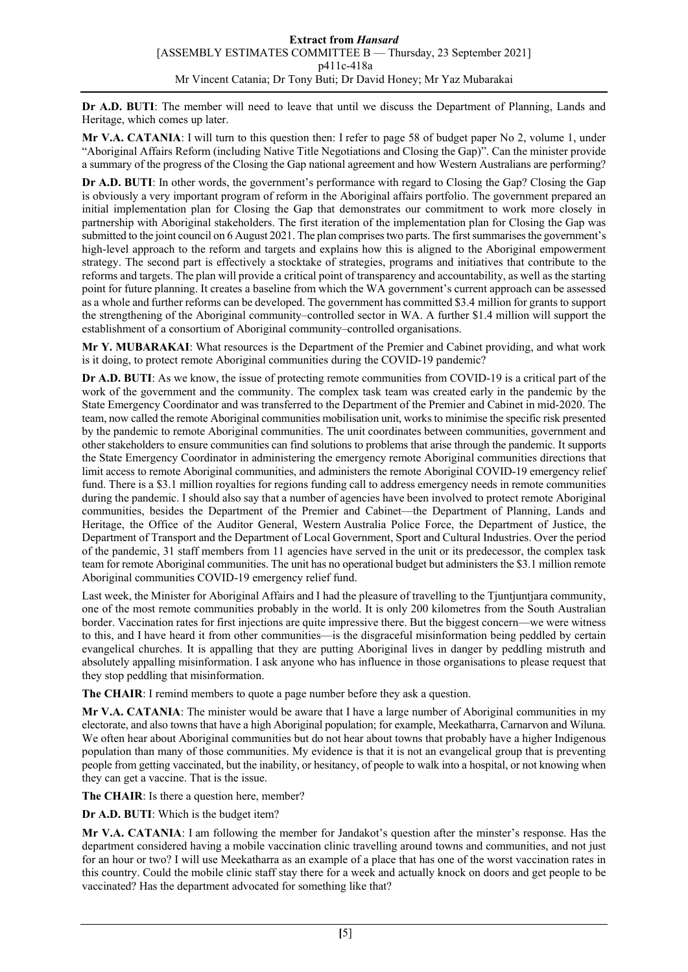**Dr A.D. BUTI**: The member will need to leave that until we discuss the Department of Planning, Lands and Heritage, which comes up later.

**Mr V.A. CATANIA**: I will turn to this question then: I refer to page 58 of budget paper No 2, volume 1, under "Aboriginal Affairs Reform (including Native Title Negotiations and Closing the Gap)". Can the minister provide a summary of the progress of the Closing the Gap national agreement and how Western Australians are performing?

**Dr A.D. BUTI**: In other words, the government's performance with regard to Closing the Gap? Closing the Gap is obviously a very important program of reform in the Aboriginal affairs portfolio. The government prepared an initial implementation plan for Closing the Gap that demonstrates our commitment to work more closely in partnership with Aboriginal stakeholders. The first iteration of the implementation plan for Closing the Gap was submitted to the joint council on 6 August 2021. The plan comprises two parts. The first summarises the government's high-level approach to the reform and targets and explains how this is aligned to the Aboriginal empowerment strategy. The second part is effectively a stocktake of strategies, programs and initiatives that contribute to the reforms and targets. The plan will provide a critical point of transparency and accountability, as well as the starting point for future planning. It creates a baseline from which the WA government's current approach can be assessed as a whole and further reforms can be developed. The government has committed \$3.4 million for grants to support the strengthening of the Aboriginal community–controlled sector in WA. A further \$1.4 million will support the establishment of a consortium of Aboriginal community–controlled organisations.

**Mr Y. MUBARAKAI**: What resources is the Department of the Premier and Cabinet providing, and what work is it doing, to protect remote Aboriginal communities during the COVID-19 pandemic?

**Dr A.D. BUTI:** As we know, the issue of protecting remote communities from COVID-19 is a critical part of the work of the government and the community. The complex task team was created early in the pandemic by the State Emergency Coordinator and was transferred to the Department of the Premier and Cabinet in mid-2020. The team, now called the remote Aboriginal communities mobilisation unit, works to minimise the specific risk presented by the pandemic to remote Aboriginal communities. The unit coordinates between communities, government and other stakeholders to ensure communities can find solutions to problems that arise through the pandemic. It supports the State Emergency Coordinator in administering the emergency remote Aboriginal communities directions that limit access to remote Aboriginal communities, and administers the remote Aboriginal COVID-19 emergency relief fund. There is a \$3.1 million royalties for regions funding call to address emergency needs in remote communities during the pandemic. I should also say that a number of agencies have been involved to protect remote Aboriginal communities, besides the Department of the Premier and Cabinet—the Department of Planning, Lands and Heritage, the Office of the Auditor General, Western Australia Police Force, the Department of Justice, the Department of Transport and the Department of Local Government, Sport and Cultural Industries. Over the period of the pandemic, 31 staff members from 11 agencies have served in the unit or its predecessor, the complex task team for remote Aboriginal communities. The unit has no operational budget but administers the \$3.1 million remote Aboriginal communities COVID-19 emergency relief fund.

Last week, the Minister for Aboriginal Affairs and I had the pleasure of travelling to the Tjuntjuntjara community, one of the most remote communities probably in the world. It is only 200 kilometres from the South Australian border. Vaccination rates for first injections are quite impressive there. But the biggest concern—we were witness to this, and I have heard it from other communities—is the disgraceful misinformation being peddled by certain evangelical churches. It is appalling that they are putting Aboriginal lives in danger by peddling mistruth and absolutely appalling misinformation. I ask anyone who has influence in those organisations to please request that they stop peddling that misinformation.

**The CHAIR**: I remind members to quote a page number before they ask a question.

**Mr V.A. CATANIA**: The minister would be aware that I have a large number of Aboriginal communities in my electorate, and also towns that have a high Aboriginal population; for example, Meekatharra, Carnarvon and Wiluna. We often hear about Aboriginal communities but do not hear about towns that probably have a higher Indigenous population than many of those communities. My evidence is that it is not an evangelical group that is preventing people from getting vaccinated, but the inability, or hesitancy, of people to walk into a hospital, or not knowing when they can get a vaccine. That is the issue.

**The CHAIR**: Is there a question here, member?

**Dr A.D. BUTI**: Which is the budget item?

**Mr V.A. CATANIA**: I am following the member for Jandakot's question after the minster's response. Has the department considered having a mobile vaccination clinic travelling around towns and communities, and not just for an hour or two? I will use Meekatharra as an example of a place that has one of the worst vaccination rates in this country. Could the mobile clinic staff stay there for a week and actually knock on doors and get people to be vaccinated? Has the department advocated for something like that?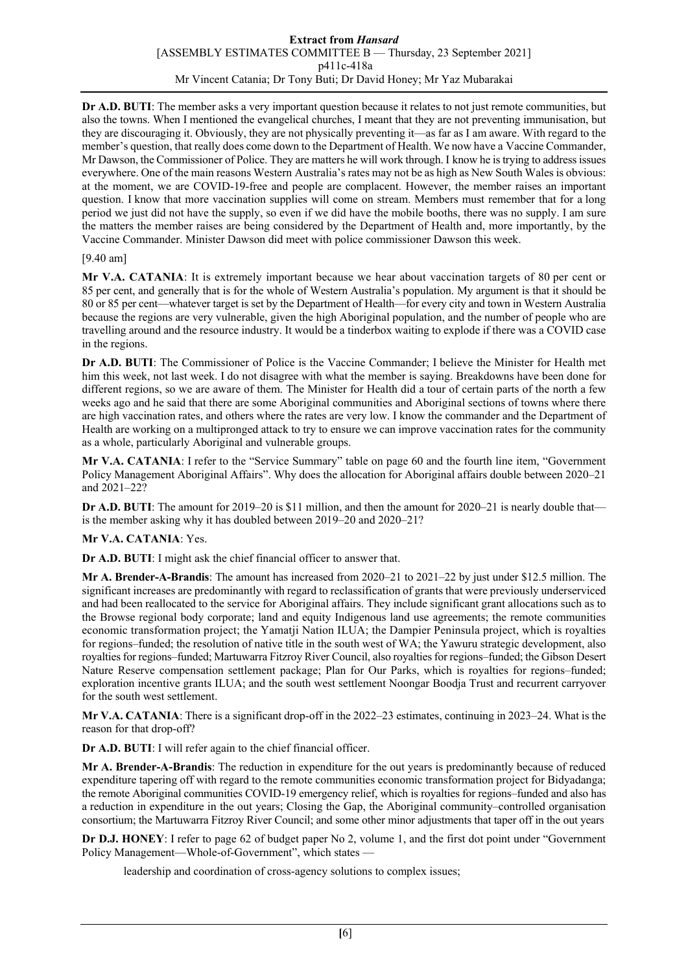### **Extract from** *Hansard* [ASSEMBLY ESTIMATES COMMITTEE B — Thursday, 23 September 2021] p411c-418a Mr Vincent Catania; Dr Tony Buti; Dr David Honey; Mr Yaz Mubarakai

**Dr A.D. BUTI**: The member asks a very important question because it relates to not just remote communities, but also the towns. When I mentioned the evangelical churches, I meant that they are not preventing immunisation, but they are discouraging it. Obviously, they are not physically preventing it—as far as I am aware. With regard to the member's question, that really does come down to the Department of Health. We now have a Vaccine Commander, Mr Dawson, the Commissioner of Police. They are matters he will work through. I know he is trying to address issues everywhere. One of the main reasons Western Australia's rates may not be as high as New South Wales is obvious: at the moment, we are COVID-19-free and people are complacent. However, the member raises an important question. I know that more vaccination supplies will come on stream. Members must remember that for a long period we just did not have the supply, so even if we did have the mobile booths, there was no supply. I am sure the matters the member raises are being considered by the Department of Health and, more importantly, by the Vaccine Commander. Minister Dawson did meet with police commissioner Dawson this week.

### [9.40 am]

**Mr V.A. CATANIA**: It is extremely important because we hear about vaccination targets of 80 per cent or 85 per cent, and generally that is for the whole of Western Australia's population. My argument is that it should be 80 or 85 per cent—whatever target is set by the Department of Health—for every city and town in Western Australia because the regions are very vulnerable, given the high Aboriginal population, and the number of people who are travelling around and the resource industry. It would be a tinderbox waiting to explode if there was a COVID case in the regions.

**Dr A.D. BUTI**: The Commissioner of Police is the Vaccine Commander; I believe the Minister for Health met him this week, not last week. I do not disagree with what the member is saying. Breakdowns have been done for different regions, so we are aware of them. The Minister for Health did a tour of certain parts of the north a few weeks ago and he said that there are some Aboriginal communities and Aboriginal sections of towns where there are high vaccination rates, and others where the rates are very low. I know the commander and the Department of Health are working on a multipronged attack to try to ensure we can improve vaccination rates for the community as a whole, particularly Aboriginal and vulnerable groups.

**Mr V.A. CATANIA**: I refer to the "Service Summary" table on page 60 and the fourth line item, "Government Policy Management Aboriginal Affairs". Why does the allocation for Aboriginal affairs double between 2020–21 and 2021–22?

**Dr A.D. BUTI:** The amount for 2019–20 is \$11 million, and then the amount for 2020–21 is nearly double that is the member asking why it has doubled between 2019–20 and 2020–21?

# **Mr V.A. CATANIA**: Yes.

**Dr A.D. BUTI**: I might ask the chief financial officer to answer that.

**Mr A. Brender-A-Brandis**: The amount has increased from 2020–21 to 2021–22 by just under \$12.5 million. The significant increases are predominantly with regard to reclassification of grants that were previously underserviced and had been reallocated to the service for Aboriginal affairs. They include significant grant allocations such as to the Browse regional body corporate; land and equity Indigenous land use agreements; the remote communities economic transformation project; the Yamatji Nation ILUA; the Dampier Peninsula project, which is royalties for regions–funded; the resolution of native title in the south west of WA; the Yawuru strategic development, also royalties for regions–funded; Martuwarra Fitzroy River Council, also royalties for regions–funded; the Gibson Desert Nature Reserve compensation settlement package; Plan for Our Parks, which is royalties for regions–funded; exploration incentive grants ILUA; and the south west settlement Noongar Boodja Trust and recurrent carryover for the south west settlement.

**Mr V.A. CATANIA**: There is a significant drop-off in the 2022–23 estimates, continuing in 2023–24. What is the reason for that drop-off?

**Dr A.D. BUTI**: I will refer again to the chief financial officer.

**Mr A. Brender-A-Brandis**: The reduction in expenditure for the out years is predominantly because of reduced expenditure tapering off with regard to the remote communities economic transformation project for Bidyadanga; the remote Aboriginal communities COVID-19 emergency relief, which is royalties for regions–funded and also has a reduction in expenditure in the out years; Closing the Gap, the Aboriginal community–controlled organisation consortium; the Martuwarra Fitzroy River Council; and some other minor adjustments that taper off in the out years

**Dr D.J. HONEY**: I refer to page 62 of budget paper No 2, volume 1, and the first dot point under "Government Policy Management—Whole-of-Government", which states -

leadership and coordination of cross-agency solutions to complex issues;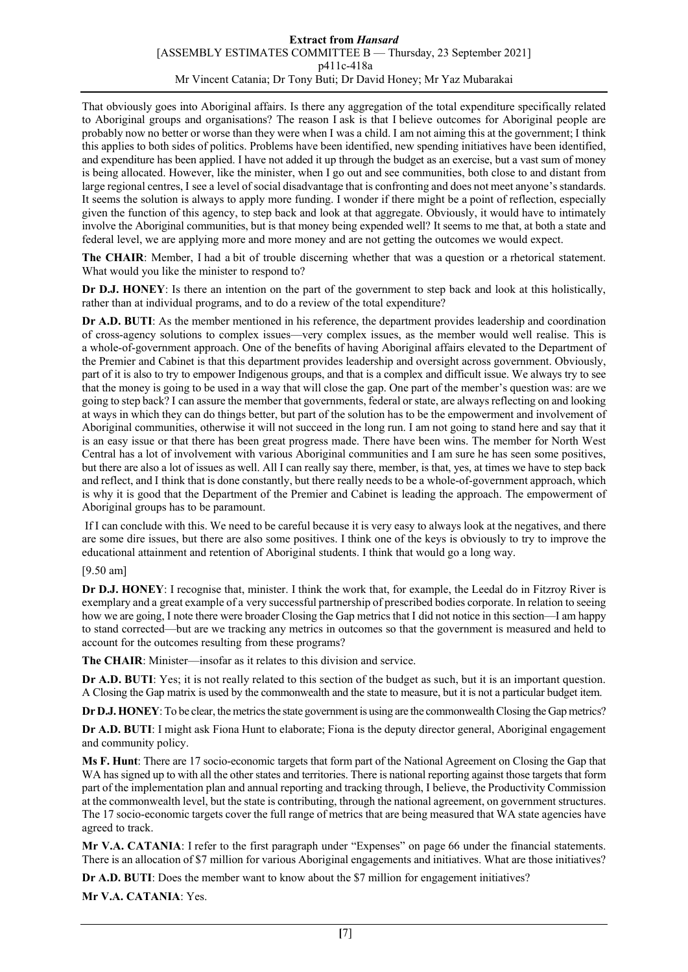### **Extract from** *Hansard* [ASSEMBLY ESTIMATES COMMITTEE B — Thursday, 23 September 2021] p411c-418a Mr Vincent Catania; Dr Tony Buti; Dr David Honey; Mr Yaz Mubarakai

That obviously goes into Aboriginal affairs. Is there any aggregation of the total expenditure specifically related to Aboriginal groups and organisations? The reason I ask is that I believe outcomes for Aboriginal people are probably now no better or worse than they were when I was a child. I am not aiming this at the government; I think this applies to both sides of politics. Problems have been identified, new spending initiatives have been identified, and expenditure has been applied. I have not added it up through the budget as an exercise, but a vast sum of money is being allocated. However, like the minister, when I go out and see communities, both close to and distant from large regional centres, I see a level of social disadvantage that is confronting and does not meet anyone's standards. It seems the solution is always to apply more funding. I wonder if there might be a point of reflection, especially given the function of this agency, to step back and look at that aggregate. Obviously, it would have to intimately involve the Aboriginal communities, but is that money being expended well? It seems to me that, at both a state and federal level, we are applying more and more money and are not getting the outcomes we would expect.

**The CHAIR**: Member, I had a bit of trouble discerning whether that was a question or a rhetorical statement. What would you like the minister to respond to?

**Dr D.J. HONEY**: Is there an intention on the part of the government to step back and look at this holistically, rather than at individual programs, and to do a review of the total expenditure?

**Dr A.D. BUTI**: As the member mentioned in his reference, the department provides leadership and coordination of cross-agency solutions to complex issues—very complex issues, as the member would well realise. This is a whole-of-government approach. One of the benefits of having Aboriginal affairs elevated to the Department of the Premier and Cabinet is that this department provides leadership and oversight across government. Obviously, part of it is also to try to empower Indigenous groups, and that is a complex and difficult issue. We always try to see that the money is going to be used in a way that will close the gap. One part of the member's question was: are we going to step back? I can assure the member that governments, federal or state, are alwaysreflecting on and looking at ways in which they can do things better, but part of the solution has to be the empowerment and involvement of Aboriginal communities, otherwise it will not succeed in the long run. I am not going to stand here and say that it is an easy issue or that there has been great progress made. There have been wins. The member for North West Central has a lot of involvement with various Aboriginal communities and I am sure he has seen some positives, but there are also a lot of issues as well. All I can really say there, member, is that, yes, at times we have to step back and reflect, and I think that is done constantly, but there really needs to be a whole-of-government approach, which is why it is good that the Department of the Premier and Cabinet is leading the approach. The empowerment of Aboriginal groups has to be paramount.

If I can conclude with this. We need to be careful because it is very easy to always look at the negatives, and there are some dire issues, but there are also some positives. I think one of the keys is obviously to try to improve the educational attainment and retention of Aboriginal students. I think that would go a long way.

### [9.50 am]

**Dr D.J. HONEY**: I recognise that, minister. I think the work that, for example, the Leedal do in Fitzroy River is exemplary and a great example of a very successful partnership of prescribed bodies corporate. In relation to seeing how we are going, I note there were broader Closing the Gap metrics that I did not notice in this section—I am happy to stand corrected—but are we tracking any metrics in outcomes so that the government is measured and held to account for the outcomes resulting from these programs?

**The CHAIR**: Minister—insofar as it relates to this division and service.

**Dr A.D. BUTI**: Yes; it is not really related to this section of the budget as such, but it is an important question. A Closing the Gap matrix is used by the commonwealth and the state to measure, but it is not a particular budget item.

**Dr D.J. HONEY**: To be clear, the metrics the state government is using are the commonwealth Closing the Gap metrics?

**Dr A.D. BUTI**: I might ask Fiona Hunt to elaborate; Fiona is the deputy director general, Aboriginal engagement and community policy.

**Ms F. Hunt**: There are 17 socio-economic targets that form part of the National Agreement on Closing the Gap that WA has signed up to with all the other states and territories. There is national reporting against those targets that form part of the implementation plan and annual reporting and tracking through, I believe, the Productivity Commission at the commonwealth level, but the state is contributing, through the national agreement, on government structures. The 17 socio-economic targets cover the full range of metrics that are being measured that WA state agencies have agreed to track.

**Mr V.A. CATANIA**: I refer to the first paragraph under "Expenses" on page 66 under the financial statements. There is an allocation of \$7 million for various Aboriginal engagements and initiatives. What are those initiatives?

**Dr A.D. BUTI**: Does the member want to know about the \$7 million for engagement initiatives?

**Mr V.A. CATANIA**: Yes.